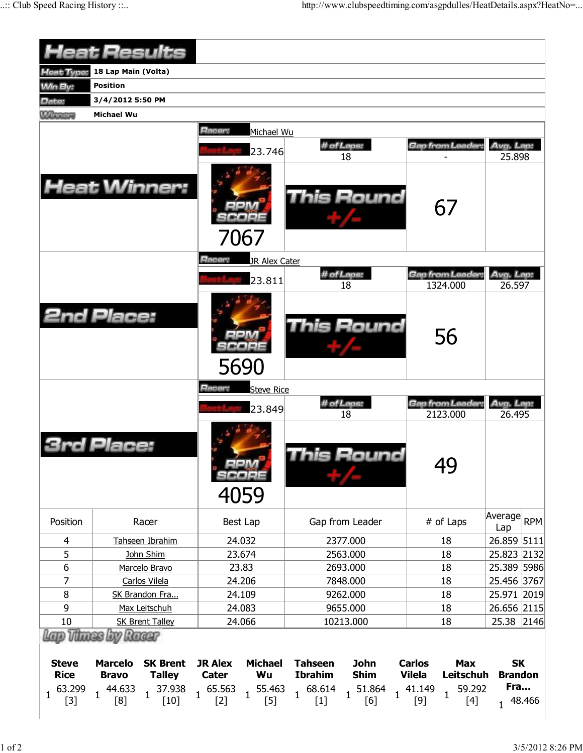|                                  |                                | <b>Heat Results</b>                                                   |                                |                      |                                                             |                            |                                |                                 |                             |  |
|----------------------------------|--------------------------------|-----------------------------------------------------------------------|--------------------------------|----------------------|-------------------------------------------------------------|----------------------------|--------------------------------|---------------------------------|-----------------------------|--|
|                                  |                                |                                                                       |                                |                      |                                                             |                            |                                |                                 |                             |  |
| Heat Type:                       | 18 Lap Main (Volta)            |                                                                       |                                |                      |                                                             |                            |                                |                                 |                             |  |
| <b>Win By:</b>                   | <b>Position</b>                |                                                                       |                                |                      |                                                             |                            |                                |                                 |                             |  |
| Date:                            | 3/4/2012 5:50 PM               |                                                                       |                                |                      |                                                             |                            |                                |                                 |                             |  |
| <b><i><u>Million ave</u></i></b> | <b>Michael Wu</b>              |                                                                       |                                |                      |                                                             |                            |                                |                                 |                             |  |
|                                  |                                |                                                                       | Racer:                         | Michael Wu<br>23.746 |                                                             | # of Laps:<br>18           | Gap from Leader:               |                                 | Avg. Lap:<br>25.898         |  |
|                                  |                                | <b>Heat Winner:</b>                                                   |                                | 7067                 |                                                             | <b>This Round</b>          |                                | 67                              |                             |  |
|                                  |                                |                                                                       | Racer:                         | JR Alex Cater        |                                                             | # of Laps:                 | Gap from Leader.               |                                 | Avg. Lap:                   |  |
|                                  |                                |                                                                       |                                | 23.811               |                                                             | 18                         |                                | 1324.000                        | 26.597                      |  |
|                                  | <b>2nd Place:</b>              |                                                                       |                                | 5690                 |                                                             | This Round                 |                                | 56                              |                             |  |
|                                  |                                |                                                                       | Racer:                         | <b>Steve Rice</b>    |                                                             |                            |                                |                                 |                             |  |
|                                  |                                |                                                                       |                                | 23.849               |                                                             | # of Laps:<br>18           |                                | Gap from Leader:<br>2123.000    | Avg. Lap:<br>26.495         |  |
|                                  | Place:                         |                                                                       |                                | 4059                 |                                                             | his Round                  |                                | 49                              |                             |  |
| Position                         |                                | Racer                                                                 |                                | Best Lap             |                                                             | Gap from Leader            |                                | # of Laps                       | Average RPM<br>Lap          |  |
| $\overline{4}$                   |                                | Tahseen Ibrahim                                                       |                                | 24.032               |                                                             | 2377.000                   |                                | 18                              | 26.859 5111                 |  |
| 5                                |                                | John Shim                                                             |                                | 23.674               |                                                             | 2563.000                   |                                | 18                              | 25.823 2132                 |  |
| 6                                |                                | Marcelo Bravo                                                         |                                | 23.83                |                                                             | 2693.000                   |                                | 18                              | 25.389 5986                 |  |
| 7                                |                                | Carlos Vilela                                                         |                                | 24.206               |                                                             | 7848.000                   |                                | 18                              | 25.456 3767                 |  |
| 8                                |                                | SK Brandon Fra                                                        |                                | 24.109               |                                                             | 9262.000                   |                                | 18                              | 25.971 2019                 |  |
| 9                                |                                | Max Leitschuh                                                         |                                | 24.083               |                                                             | 9655.000                   |                                | 18                              | 26.656 2115                 |  |
| 10                               |                                | <b>SK Brent Talley</b>                                                |                                | 24.066               |                                                             | 10213.000                  |                                | 18                              | 25.38 2146                  |  |
|                                  | Lap Thues by Raear             |                                                                       |                                |                      |                                                             |                            |                                |                                 |                             |  |
| <b>Steve</b><br><b>Rice</b>      | <b>Marcelo</b><br><b>Bravo</b> | <b>SK Brent</b><br><b>Talley</b>                                      | <b>JR Alex</b><br><b>Cater</b> | <b>Michael</b><br>Wu | <b>Tahseen</b><br><b>Ibrahim</b>                            | <b>John</b><br><b>Shim</b> | <b>Carlos</b><br><b>Vilela</b> | <b>Max</b><br>Leitschuh         | <b>SK</b><br><b>Brandon</b> |  |
| 63.299<br>$\mathbf{1}$<br>$[3]$  | $1 \frac{44.633}{1}$<br>[8]    | $1\quad 37.938 \quad 1\quad 65.563 \quad 1\quad 5$<br>[10] $1\quad 5$ |                                | 55.463<br>$[5]$      | $\begin{matrix} & 68.614 & \\ & [1] & \end{matrix} \quad 1$ | 51.864<br>[6]              | $1 \frac{41.149}{1}$<br>$[9]$  | 59.292<br>$\mathbf{1}$<br>$[4]$ | Fra<br>1 48.466             |  |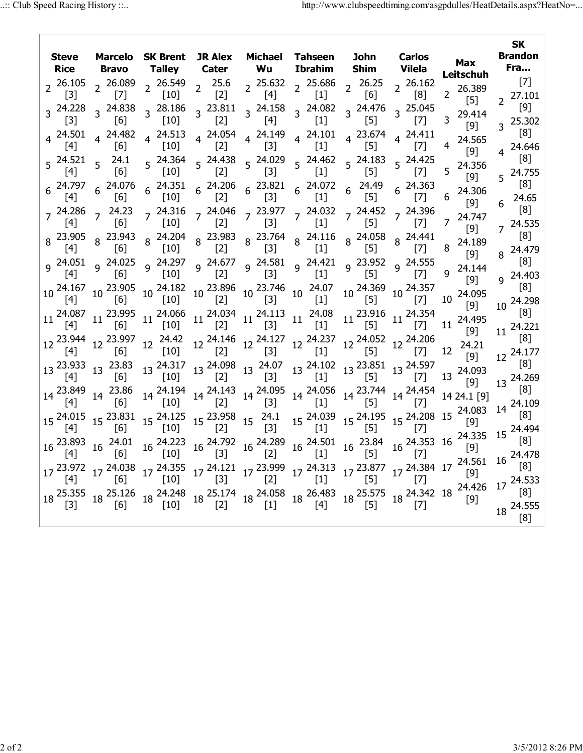| Steve<br>Rice                                        | <b>Marcelo</b><br>Bravo         | <b>SK Brent</b><br>Talley         |                                                 | <b>JR Alex</b><br>Michael Tahseen<br>Wu<br><b>Cater</b>                                                 |                                                                                        | John<br><b>Shim</b>                    | <b>Carlos</b><br><b>Vilela</b>         | <b>SK</b><br><b>Brandon</b><br>Fra                 |                                 |  |
|------------------------------------------------------|---------------------------------|-----------------------------------|-------------------------------------------------|---------------------------------------------------------------------------------------------------------|----------------------------------------------------------------------------------------|----------------------------------------|----------------------------------------|----------------------------------------------------|---------------------------------|--|
| $2^{26.105}$<br>$\lceil 3 \rceil$                    | $2\frac{26.089}{173}$<br>$[7]$  | $2\frac{26.549}{11.27}$<br>$[10]$ | 2 $\frac{25.6}{121}$<br>$\lceil 2 \rceil$       | $[4]$                                                                                                   | $2\begin{array}{cc} 25.632 & 25.686 \\ 5.63 & 25.686 \end{array}$<br>$\lceil 1 \rceil$ | $2^{26.25}$<br>$\lceil 6 \rceil$       | , 26.162<br>$\lceil 8 \rceil$          | 2 26.389<br>$[5]$                                  | $[7]$<br>$2^{27.101}$           |  |
| 3 24.228<br>$\lceil 3 \rceil$                        | 3 24.838<br>[6]                 | 3 28.186<br>$\lceil 10 \rceil$    | $3^{23.811}$<br>$[2]$                           | 3 24.158<br>$[4]$                                                                                       | $3^{24.082}$<br>$[1]$                                                                  | $3^{24.476}$<br>$[5]$                  | $3^{25.045}$<br>$[7]$                  | 29.414<br>3<br>[9]                                 | [9]<br>$3^{25.302}$             |  |
| $4^{24.501}$<br>[4]                                  | 4 24.482<br>[6]                 | 4 24.513<br>$\lceil 10 \rceil$    | 4 24.054<br>$[2]$                               | 4 24.149<br>$[3]$                                                                                       | $4^{24.101}$<br>$\lceil 1 \rceil$                                                      | 4 23.674<br>[5]                        | 4 24.411<br>$[7]$                      | 24.565<br>4<br>[9]                                 | [8]<br>4 24.646                 |  |
| $5\begin{array}{c} 24.521 \\ 5 \end{array}$ 5<br>[4] | 24.1<br>[6]                     | 5 24.364<br>$[10]$                | $5 \frac{24.438}{125}$<br>$[2]$                 | 5 24.029<br>$[3]$                                                                                       | 5 24.462<br>$[1]$                                                                      | $5^{24.183}$<br>$[5]$                  | $5^{24.425}$<br>$[7]$                  | 24.356<br>5<br>[9]                                 | [8]<br>$5^{24.755}$             |  |
| $6^{24.797}$<br>$[4]$                                | $6\frac{24.076}{100}$<br>[6]    | $6^{24.351}$<br>$[10]$            | [2]                                             | $6\begin{array}{cc} 24.206 & 23.821 \\ 52.6 & 6 \end{array}$<br>$[3]$                                   | $6^{24.072}$<br>$[1]$                                                                  | $6^{24.49}$<br>$[5]$                   | $6^{24.363}$<br>$[7]$                  | 24.306<br>6<br>[9]                                 | $\lceil 8 \rceil$<br>24.65<br>6 |  |
| $[4]$                                                | $7^{24.286}$ $7^{24.23}$<br>[6] | $7^{24.316}$<br>$[10]$            | $\left( \begin{array}{c} 2 \end{array} \right)$ | $[3]$                                                                                                   | 7 24.046 7 23.977 7 24.032 7 24.452 7 24.396<br>[1]                                    | $[5]$                                  | [7]                                    | 24.747<br>$\overline{7}$<br>$[9]$                  | [8]<br>$7^{24.535}$             |  |
| 8 23.905<br>$[4]$                                    | 8 23.943<br>[6]                 | 8 24.204<br>$[10]$                |                                                 | 8 23.983 8 23.764<br>[2] 8 [3]                                                                          | 8 24.116<br>[1]                                                                        | 8 24.058<br>$[5]$                      | $8^{24.441}$<br>[7]                    | 24.189<br>8<br>$[9]$                               | [8]<br>8 24.479                 |  |
|                                                      | $9^{24.051}$ 9 24.025<br>[6]    | 9 24.297<br>$[10]$                | [2]                                             | $9^{24.677}$ $9^{24.581}$<br>$[3]$                                                                      | 9 24.421<br>[1]                                                                        | $9^{23.952}$<br>$[5]$                  | 9 24.555<br>[7]                        | 24.144<br>9<br>$[9]$                               | [8]<br>24.403<br>q              |  |
| $10^{24.167}$                                        | $10^{23.905}$<br>[6]            | $10^{24.182}$<br>$[10]$           |                                                 | 10 23.896 10 23.746 10 24.07<br>[2] 10 [3] 10 [1]<br>[3]                                                |                                                                                        | $10^{24.369}$<br>[5]                   | $10^{24.357}$<br>[7]                   | 24.095<br>10<br>$[9]$                              | [8]<br>24.298<br>10             |  |
| [4]                                                  | 11 24.087 11 23.995<br>[6]      | $11^{24.066}$<br>$[10]$           | $[2]$                                           | $11^{24.034}$ $11^{24.113}$ $11^{24.08}$<br>$[3]$                                                       | $[1]$                                                                                  | $[5]$                                  | $11^{23.916}$ $11^{24.354}$<br>$[7]$   | 11 24.495<br>$[9]$                                 | [8]<br>24.221                   |  |
| [4]                                                  | 12 23.944 12 23.997<br>[6]      | 12 24.42<br>[10]                  | $[2]$                                           | $12\frac{24.146}{521}$ $12\frac{24.127}{521}$<br>$[3]$                                                  | $12^{24.237}$<br>$[1]$                                                                 | $[5]$                                  | 12 24.052 12 24.206<br>$[7]$           | 12 24.21<br>[9]                                    | 11<br>[8]<br>12 24.177          |  |
| $13\frac{23.933}{541}$ $13\frac{23.83}{551}$         | [6]                             | 13 24.317<br>[10]                 | $[2]$                                           | $13\frac{24.098}{521}$ $13\frac{24.07}{521}$<br>$\lceil 3 \rceil$                                       | $[1]$                                                                                  | 13 24.102 13 23.851 13 24.597<br>$[5]$ | $[7]$                                  | 13 24.093<br>[9]                                   | [8]<br>13 24.269                |  |
| 14 23.849                                            | 23.86<br>14<br> 6               | 14 24.194<br>$\lceil 10 \rceil$   | $[2]$                                           | $14\begin{array}{l} 24.143 \\ 521 \end{array}$ 14 $\begin{array}{l} 24.095 \\ 152 \end{array}$<br>$[3]$ | 14 24.056<br>$[1]$                                                                     | $[5]$                                  | 14 23.744 14 24.454<br>[7]             | 14 24.1 [9]                                        | [8]<br>14 24.109                |  |
| $15\frac{24.015}{547}$                               | 15 23.831<br>[6]                | 15 24.125<br>$[10]$               | $15\frac{23.958}{[2]}$                          | $15^{24.1}$<br>$[3]$                                                                                    | 15 24.039<br>$[1]$                                                                     | $[5]$                                  | 15 24.195 15 24.208 15 24.083<br>$[7]$ |                                                    | [8]<br>15 24.494                |  |
| 16 23.893                                            | 16 24.01<br> 6                  | $16\frac{24.223}{5}$<br>$[10]$    | 16 <sup>24.792</sup>                            | $16\frac{24.289}{12}$<br>$[2]$                                                                          | $16\frac{24.501}{}$<br>$[1]$                                                           | $16^{23.84}$<br>$[5]$                  | $16\frac{24.353}{16}$<br>[7]           | 24.335<br>[9]                                      | [8]<br>16 24.478                |  |
|                                                      | 17 23.972 17 24.038<br>[6]      | 17 24.355<br>[10]                 | $\lceil 3 \rceil$                               | $17\frac{24.121}{521}$ $17\frac{23.999}{521}$<br>[2]                                                    | 17 24.313<br>[1]                                                                       | $17\frac{23.877}{55}$<br>$[5]$         | [7]                                    | $17\frac{24.384}{17}$ $17\frac{24.561}{10}$<br>[9] | [8]<br>17 24.533                |  |
| 18 25.355                                            | 18 25.126<br>[6]                | 18 24.248<br>$[10]$               | $\lceil 2 \rceil$                               | $[1]$                                                                                                   | 18 25.174 18 24.058 18 26.483 18 25.575 18 24.342 18 24.426<br>[4]                     | $\lceil 5 \rceil$                      | $[7]$                                  |                                                    | [8]<br>18 24.555                |  |
|                                                      |                                 |                                   |                                                 |                                                                                                         |                                                                                        |                                        |                                        |                                                    | [8]                             |  |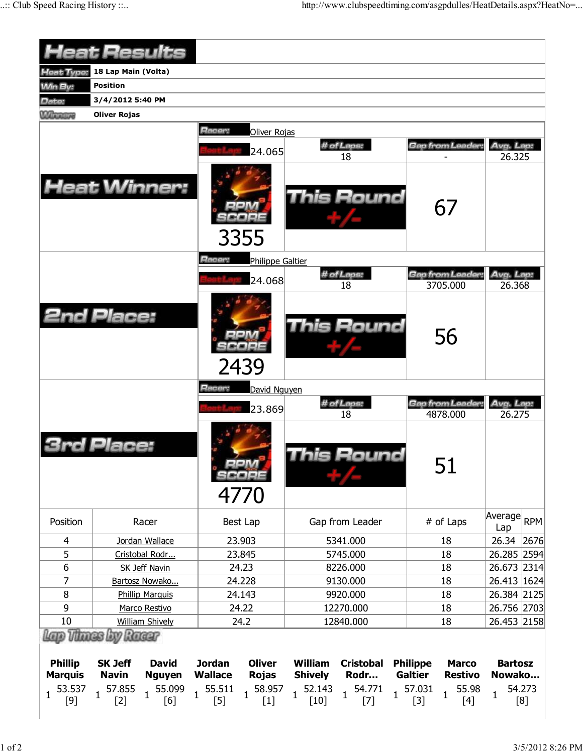|                          | <b>Heat Results</b> |                                 |                                 |                                 |                                  |                                       |                |                 |                                |                     |               |
|--------------------------|---------------------|---------------------------------|---------------------------------|---------------------------------|----------------------------------|---------------------------------------|----------------|-----------------|--------------------------------|---------------------|---------------|
|                          |                     |                                 |                                 |                                 |                                  |                                       |                |                 |                                |                     |               |
| Heat Type:               | 18 Lap Main (Volta) |                                 |                                 |                                 |                                  |                                       |                |                 |                                |                     |               |
| <b>Min By:</b>           | <b>Position</b>     |                                 |                                 |                                 |                                  |                                       |                |                 |                                |                     |               |
| Date:                    | 3/4/2012 5:40 PM    |                                 |                                 |                                 |                                  |                                       |                |                 |                                |                     |               |
| <b>Winners</b>           | <b>Oliver Rojas</b> |                                 |                                 |                                 |                                  |                                       |                |                 |                                |                     |               |
|                          |                     | <b>Heat Winner:</b>             | Racer:                          | Oliver Rojas<br>24.065          |                                  | # of Laps:<br>18<br><b>This Round</b> |                |                 | <b>Gap from Leader:</b><br>67  | Avg. Lap:<br>26.325 |               |
|                          |                     |                                 | Racer:                          | 3355<br>Philippe Galtier        |                                  |                                       |                |                 |                                |                     |               |
|                          |                     |                                 |                                 | 24.068                          |                                  | # of Laps:<br>18                      |                |                 | Gap from Leader:<br>3705.000   | Avg. Lap:<br>26.368 |               |
|                          | <b>2nd Place:</b>   |                                 |                                 | 2439                            |                                  | This Round                            |                |                 | 56                             |                     |               |
|                          |                     |                                 | Racer:                          | David Nguyen                    |                                  |                                       |                |                 |                                |                     |               |
|                          |                     |                                 |                                 | 23.869                          |                                  | # of Laps:                            |                |                 | Gap from Leader:               | Avg. Lap:           |               |
|                          | Place:              |                                 |                                 | 4770                            |                                  | 18<br>his Round                       |                |                 | 4878,000<br>51                 | 26.275              |               |
| Position                 |                     | Racer                           |                                 | Best Lap                        |                                  | Gap from Leader                       |                |                 | # of Laps                      | Average<br>Lap      | <b>RPM</b>    |
| $\overline{4}$           |                     | Jordan Wallace                  |                                 | 23.903                          |                                  | 5341.000                              |                |                 | 18                             | 26.34               | 2676          |
| 5                        |                     | Cristobal Rodr                  |                                 | 23.845                          |                                  | 5745.000                              |                |                 | 18                             | 26.285 2594         |               |
| 6                        |                     | <b>SK Jeff Navin</b>            |                                 | 24.23                           |                                  | 8226.000                              |                |                 | 18                             | 26.673 2314         |               |
| 7                        |                     | Bartosz Nowako                  |                                 | 24.228                          |                                  | 9130.000                              |                |                 | 18                             | 26.413 1624         |               |
| 8                        |                     | <b>Phillip Marquis</b>          |                                 | 24.143                          |                                  | 9920.000                              |                |                 | 18                             | 26.384 2125         |               |
| 9                        |                     | Marco Restivo                   |                                 | 24.22                           |                                  | 12270.000                             |                |                 | 18                             | 26.756 2703         |               |
| 10<br>Lap Thues by Raear |                     | <b>William Shively</b>          |                                 | 24.2                            |                                  | 12840.000                             |                |                 | 18                             | 26.453 2158         |               |
| <b>Phillip</b>           | <b>SK Jeff</b>      | <b>David</b>                    | <b>Jordan</b>                   | <b>Oliver</b>                   | <b>William</b>                   | <b>Cristobal</b>                      |                | <b>Philippe</b> | <b>Marco</b>                   | <b>Bartosz</b>      |               |
| <b>Marquis</b>           | <b>Navin</b>        | <b>Nguyen</b>                   | <b>Wallace</b>                  | <b>Rojas</b>                    | <b>Shively</b>                   | Rodr                                  |                | <b>Galtier</b>  | <b>Restivo</b>                 | Nowako              |               |
| 53.537<br>1.<br>$[9]$    | 57.855<br>$[2]$     | 55.099<br>$\overline{1}$<br>[6] | 55.511<br>$\mathbf{1}$<br>$[5]$ | 58.957<br>$\mathbf{1}$<br>$[1]$ | 52.143<br>$\mathbf{1}$<br>$[10]$ | 54.771<br>$[7]$                       | $\overline{1}$ | 57.031<br>$[3]$ | 55.98<br>$\mathbf{1}$<br>$[4]$ | $\mathbf{1}$        | 54.273<br>[8] |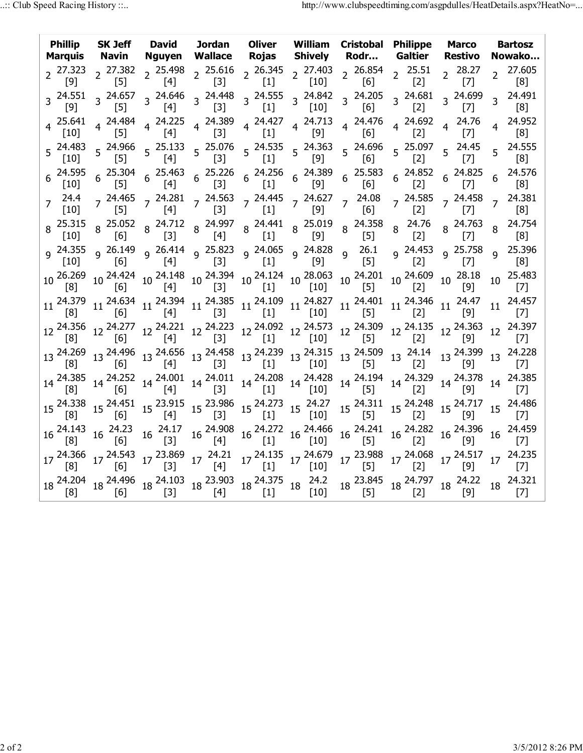| <b>Phillip</b><br>Marquis |                             |                                               |  |                                                                                                                                                                                                                                                                                                                                                                                                                                                                  | SK Jeff David Jordan Oliver William Cristobal Philippe Marco<br>Navin Nguyen Wallace Rojas Shively Rodr Galtier Restivo N                                                                                                                                                                                                                                                                                                                                   |                                                  | <b>Bartosz</b><br>Nowako                                                                                                                                                                                                                                                                                                                                                                                                                                    |
|---------------------------|-----------------------------|-----------------------------------------------|--|------------------------------------------------------------------------------------------------------------------------------------------------------------------------------------------------------------------------------------------------------------------------------------------------------------------------------------------------------------------------------------------------------------------------------------------------------------------|-------------------------------------------------------------------------------------------------------------------------------------------------------------------------------------------------------------------------------------------------------------------------------------------------------------------------------------------------------------------------------------------------------------------------------------------------------------|--------------------------------------------------|-------------------------------------------------------------------------------------------------------------------------------------------------------------------------------------------------------------------------------------------------------------------------------------------------------------------------------------------------------------------------------------------------------------------------------------------------------------|
|                           |                             |                                               |  |                                                                                                                                                                                                                                                                                                                                                                                                                                                                  | 2 <sup>27.323</sup> 2 <sup>27.382</sup> 2 <sup>25.498</sup> 2 <sup>25.616</sup> 2 <sup>26.345</sup> 2 <sup>27.403</sup> 2 <sup>26.854</sup> 2 <sup>25.51</sup><br>[9] 2 <sup>25.498</sup> 2 <sup>25.616</sup> 2 <sup>26.345</sup> 2 <sup>27.403</sup> 2 <sup>26.854</sup> 2 <sup>25.51</sup>                                                                                                                                                                | $2^{28.27}$<br>$\begin{bmatrix} 7 \end{bmatrix}$ | 27.605<br>$\overline{2}$                                                                                                                                                                                                                                                                                                                                                                                                                                    |
|                           |                             |                                               |  |                                                                                                                                                                                                                                                                                                                                                                                                                                                                  |                                                                                                                                                                                                                                                                                                                                                                                                                                                             | 3 24.699<br>[7]                                  | 3 24.491                                                                                                                                                                                                                                                                                                                                                                                                                                                    |
|                           |                             |                                               |  |                                                                                                                                                                                                                                                                                                                                                                                                                                                                  | 4  25.641  4  24.484  4  24.225  4  24.389  4  24.427  4  24.713  4  24.476  4  24.692<br>[10]  4  [5]  4  [4]  [3]  4  [1]  4  [9]  4  [6]  4  [2]                                                                                                                                                                                                                                                                                                         | 4 24.76<br>[7]                                   | 4 24.952                                                                                                                                                                                                                                                                                                                                                                                                                                                    |
|                           |                             |                                               |  |                                                                                                                                                                                                                                                                                                                                                                                                                                                                  | 5  24.483  5  24.966  5  25.133  5  25.076  5  24.535  5  24.363  5  24.696  5  25.097<br>[10]  5  [5]  5  [4]  5  [3]  5  [1]  5  [9]  5  [6]  5  [2]                                                                                                                                                                                                                                                                                                      | $5^{24.45}$<br>$[7]$                             | $5^{24.555}$                                                                                                                                                                                                                                                                                                                                                                                                                                                |
|                           |                             |                                               |  |                                                                                                                                                                                                                                                                                                                                                                                                                                                                  | $6\begin{array}{ccccccccc} 24.595 & 6 & 25.304 & 6 & 25.463 & 6 & 25.226 & 6 & 24.256 & 6 & 24.389 & 6 & 25.583 & 6 & 24.852 & 6 & 24.825 \ \hline [10] & 6 & [5] & 6 & [4] & 6 & [3] & 6 & [1] & 6 & [9] & 6 & [6] & 6 & [2] & 6 & [7] \end{array}$                                                                                                                                                                                                        |                                                  | 24.576<br>6 <sup>1</sup>                                                                                                                                                                                                                                                                                                                                                                                                                                    |
|                           |                             |                                               |  |                                                                                                                                                                                                                                                                                                                                                                                                                                                                  |                                                                                                                                                                                                                                                                                                                                                                                                                                                             |                                                  | 24.381                                                                                                                                                                                                                                                                                                                                                                                                                                                      |
|                           |                             |                                               |  |                                                                                                                                                                                                                                                                                                                                                                                                                                                                  | 8 <sup>25.315</sup> 8 <sup>25.052</sup> 8 <sup>24.712</sup> 8 <sup>24.997</sup> 8 <sup>24.441</sup> 8 <sup>25.019</sup> 8 <sup>24.358</sup> 8 <sup>24.76</sup> 8 <sup>24.763</sup> 8<br>[10] 8 [6] 8 [3] 8 [4] 8 [1] 8 [9] 8 [5] 8 [2] 8 [7] 8                                                                                                                                                                                                              |                                                  | 24.754                                                                                                                                                                                                                                                                                                                                                                                                                                                      |
|                           |                             |                                               |  |                                                                                                                                                                                                                                                                                                                                                                                                                                                                  |                                                                                                                                                                                                                                                                                                                                                                                                                                                             |                                                  |                                                                                                                                                                                                                                                                                                                                                                                                                                                             |
|                           |                             |                                               |  |                                                                                                                                                                                                                                                                                                                                                                                                                                                                  | $10\begin{array}{l}\n 26.269 \\  10\n \end{array}\n \begin{array}{l}\n 10^{24.424} \\  10^{24.148} \\  10^{24.394}\n \end{array}\n \begin{array}{l}\n 10^{24.394} \\  10^{24.124} \\  10^{28.063}\n \end{array}\n \begin{array}{l}\n 10^{24.201} \\  10^{24.201} \\  10^{24.609}\n \end{array}\n \begin{array}{l}\n 10^{28.18} \\  10^{29.18}\n \end{array}\n \begin{array}{l$                                                                              |                                                  | 25.483<br>10 <sub>1</sub>                                                                                                                                                                                                                                                                                                                                                                                                                                   |
|                           |                             |                                               |  |                                                                                                                                                                                                                                                                                                                                                                                                                                                                  | $11 \begin{array}{c cccccc} 24.379 & 11 & 24.634 & 11 & 24.394 & 11 & 24.385 & 11 & 24.109 & 11 & 24.827 & 11 & 24.401 & 11 & 24.346 & 11 & 24.47 \\ \hline [8] & & & [6] & & [4] & & [3] & & [1] & & [1] & & [10] & & 11 & [5] & & 11 & [2] & & [9] \\ \end{array}$                                                                                                                                                                                        |                                                  | 24.457<br>11                                                                                                                                                                                                                                                                                                                                                                                                                                                |
|                           |                             |                                               |  |                                                                                                                                                                                                                                                                                                                                                                                                                                                                  | $12\,\begin{array}{l}\text{24.356}\\\text{[8]} \end{array} \,\,\begin{array}{l}\text{12}\,\,\text{24.277}\\\text{[6]} \end{array} \,\,\begin{array}{l}\text{12}\,\,\text{24.221}\\\text{[4]} \end{array} \,\,\begin{array}{l}\text{12}\,\,\text{24.223}\\\text{[3]} \end{array} \,\,\begin{array}{l}\text{12}\,\,\text{24.092}\\\text{[1]} \end{array} \,\,\begin{array}{l}\text{12}\,\,\text{24.309}\\\text{[10]} \end{array} \,\,\begin{array}{l}\$       |                                                  | 12 24.397                                                                                                                                                                                                                                                                                                                                                                                                                                                   |
|                           |                             |                                               |  |                                                                                                                                                                                                                                                                                                                                                                                                                                                                  | $13\begin{array}{l}\n 24.269 \\  13\n \end{array}\n \begin{array}{l}\n 13 \end{array}\n \begin{array}{l}\n 24.496 \\  13\n \end{array}\n \begin{array}{l}\n 24.656 \\  13\n \end{array}\n \begin{array}{l}\n 24.458 \\  13\n \end{array}\n \begin{array}{l}\n 24.239 \\  13\n \end{array}\n \begin{array}{l}\n 13 \end{array}\n \begin{array}{l}\n 24.315 \\  13\n \end{array}\n \begin{array}{l}\n 24.509 \\  13\n \end{array}\n \begin$                   |                                                  | 13 24.228                                                                                                                                                                                                                                                                                                                                                                                                                                                   |
|                           |                             |                                               |  |                                                                                                                                                                                                                                                                                                                                                                                                                                                                  | $14\begin{array}{l} 24.385\\ \begin{bmatrix} 8 \end{bmatrix} \end{array} \begin{array}{l} 14\begin{array}{l} 24.252\\ \begin{bmatrix} 6 \end{array} \end{array} \begin{array}{l} 14\begin{array}{l} 24.001\\ \begin{bmatrix} 4 \end{array} \end{array} \begin{array}{l} 14\begin{array}{l} 24.208\\ \begin{bmatrix} 1 \end{array} \end{array} \begin{array}{l} 14\begin{array}{l} 24.428\\ \begin{bmatrix} 10 \end{array} \end{array} \begin{array}{l} 14\$ |                                                  | 14 24.385                                                                                                                                                                                                                                                                                                                                                                                                                                                   |
|                           |                             |                                               |  | $15\begin{array}{l} 24.338 \\ \begin{bmatrix} 8 \end{bmatrix} \end{array} \begin{array}{l} 15\begin{array}{l} 24.451 \\ \begin{bmatrix} 6 \end{array} \end{array} \begin{array}{l} 15\begin{array}{l} 23.915 \\ \begin{bmatrix} 4 \end{array} \end{array} \begin{array}{l} 15\begin{array}{l} 23.986 \\ \begin{bmatrix} 3 \end{array} \end{array} \begin{array}{l} 15\begin{array}{l} 24.273 \\ \begin{bmatrix} 11 \end{array} \end{array} \begin{array}{l} 15\$ |                                                                                                                                                                                                                                                                                                                                                                                                                                                             |                                                  | 15 <sup>24.311</sup> 15 <sup>24.248</sup> 15 <sup>24.717</sup> 15 <sup>24.486</sup>                                                                                                                                                                                                                                                                                                                                                                         |
| $16\frac{24.143}{16}$     | $16\frac{24.23}{16}$<br>[6] | $16\begin{array}{c} 24.17 \\ [3] \end{array}$ |  | 16 <sup>24.908</sup> 16 <sup>24.272</sup> 16 <sup>24.466</sup> [1]                                                                                                                                                                                                                                                                                                                                                                                               | 16  24.241  16  24.282  16  24.396<br>[5]  16  21  16  24.396                                                                                                                                                                                                                                                                                                                                                                                               |                                                  | 24.459<br>16 <sup>1</sup>                                                                                                                                                                                                                                                                                                                                                                                                                                   |
|                           |                             |                                               |  |                                                                                                                                                                                                                                                                                                                                                                                                                                                                  | $17 \begin{array}{c cccccc} 24.366 & 17 & 24.543 & 17 & 23.869 & 17 & 24.21 & 17 & 24.135 & 17 & 24.679 & 17 & 23.988 & 17 & 24.068 & 17 & 24.517 \\ \hline [8] & & & [6] & & [3] & & [4] & & [1] & & [10] & & [5] & & [2] & & [9] & \end{array}$                                                                                                                                                                                                           |                                                  | 24.235<br>17 <sup>7</sup><br>$\lceil 7 \rceil$                                                                                                                                                                                                                                                                                                                                                                                                              |
|                           |                             |                                               |  |                                                                                                                                                                                                                                                                                                                                                                                                                                                                  |                                                                                                                                                                                                                                                                                                                                                                                                                                                             |                                                  | $18\begin{array}{l} 24.204\\ \begin{bmatrix} 8 \end{bmatrix} \end{array} \begin{array}{l} 18\begin{array}{l} 24.496\\ \begin{bmatrix} 6 \end{array} \end{array} \begin{array}{l} 18\begin{array}{l} 24.103\\ \begin{bmatrix} 3 \end{array} \end{array} \begin{array}{l} 18\begin{array}{l} 23.903\\ \begin{bmatrix} 4 \end{array} \end{array} \begin{array}{l} 18\begin{array}{l} 24.375\\ \begin{bmatrix} 10 \end{array} \end{array} \begin{array}{l} 18\$ |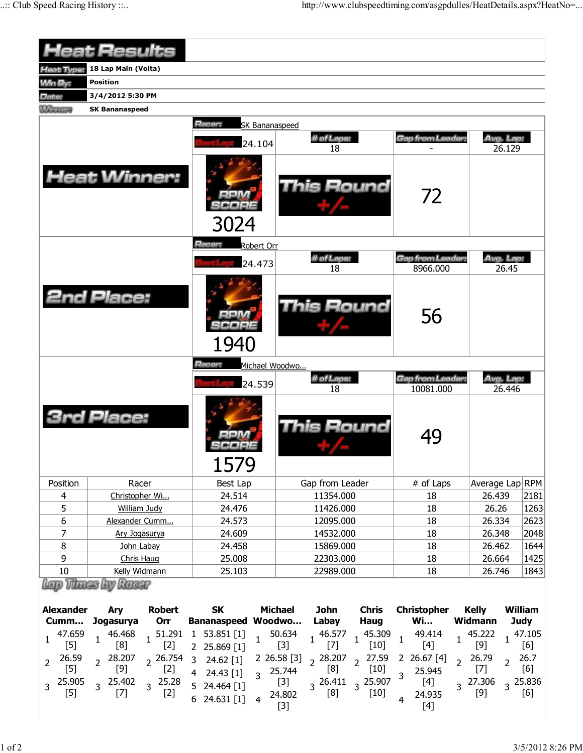|                         | <b>Heat Results</b>            |                                           |                   |                                      |                     |      |
|-------------------------|--------------------------------|-------------------------------------------|-------------------|--------------------------------------|---------------------|------|
|                         | Heat Type: 18 Lap Main (Volta) |                                           |                   |                                      |                     |      |
| <b>Win By:</b>          | <b>Position</b>                |                                           |                   |                                      |                     |      |
| Date:                   | 3/4/2012 5:30 PM               |                                           |                   |                                      |                     |      |
| <b>MATERIALS</b>        | <b>SK Bananaspeed</b>          |                                           |                   |                                      |                     |      |
|                         |                                | Racer:<br><b>SK Bananaspeed</b><br>24.104 | # of Laps:<br>18  | Gap from Leader:                     | Avg. Lap:<br>26.129 |      |
|                         | <b>Heat Winner:</b>            | 3024                                      | <b>This Round</b> | 72                                   |                     |      |
|                         |                                | Racer:<br>Robert Orr                      |                   |                                      |                     |      |
|                         |                                | 24.473                                    | # of Laps:<br>18  | <b>Gap from Leader:</b><br>8966.000  | Avg. Lap:<br>26.45  |      |
|                         | <b>2nd Place:</b>              | 1940                                      | This Round        | 56                                   |                     |      |
|                         |                                | Racer:<br>Michael Woodwo                  |                   |                                      |                     |      |
|                         |                                | 24.539                                    | # of Laps:<br>18  | <b>Gap from Leader:</b><br>10081.000 | Avg. Lap:<br>26.446 |      |
|                         | <b>3rd Place:</b>              | 1579                                      | This Round        | 49                                   |                     |      |
| Position                | Racer                          | <b>Best Lap</b>                           | Gap from Leader   | # of Laps                            | Average Lap RPM     |      |
| $\overline{\mathbf{4}}$ | Christopher Wi                 | 24.514                                    | 11354.000         | 18                                   | 26.439              | 2181 |
| 5                       | <b>William Judy</b>            | 24.476                                    | 11426.000         | 18                                   | 26.26               | 1263 |
| 6                       | Alexander Cumm                 | 24.573                                    | 12095.000         | 18                                   | 26.334              | 2623 |
| $\overline{7}$          | Ary Jogasurya                  | 24.609                                    | 14532.000         | 18                                   | 26.348              | 2048 |
| 8                       | John Labay                     | 24.458                                    | 15869.000         | 18                                   | 26.462              | 1644 |
| 9                       | Chris Haug                     | 25.008                                    | 22303.000         | 18                                   | 26.664              | 1425 |
| $10\,$                  | Kelly Widmann                  | 25.103                                    | 22989.000         | 18                                   | 26.746              | 1843 |
|                         | Lap Thase by Russ              |                                           |                   |                                      |                     |      |

| Alexander Ary | Robert SK Michael<br>Cumm Jogasurya Orr Bananaspeed Woodwo Labay                                                                                                                                                                                                       |       |  | John Chris Christopher Kelly<br>Haug Wi | Widmann | William<br>Judy |
|---------------|------------------------------------------------------------------------------------------------------------------------------------------------------------------------------------------------------------------------------------------------------------------------|-------|--|-----------------------------------------|---------|-----------------|
|               | $\begin{array}{cccccccc} 1& 47.659 & 1& 46.468 & 1& 51.291 & 1& 53.851 & [1] & 1& 50.634 & 1& 46.577 & 1& 45.309 & 1& 49.414 & 1& 45.222 & 1& 47.105 \\ & & [5] & 1 & [8] & 1 & [2] & 2& 25.869 & [1] & [3] & 1& [7] & 1& [10] & 1& [4] & 1& [9] & 1& [6] \end{array}$ |       |  |                                         |         |                 |
|               | 2 $26.59$ 2 $28.207$ 2 $26.754$ 3 $24.62$ [1] 2 $26.58$ [3] 2 $28.207$ 2 $27.59$ 2 $26.67$ [4] 2 $26.79$ 2 $26.7$ [5] 2 $[9]$ 2 $[2]$ 4 $24.43$ [1] 3 $25.744$ $[8]$ 2 $[10]$ 3 $25.945$ $[7]$ 2 $[6]$ $[6]$ 3 $25.905$ 3 $25$                                         | $[3]$ |  |                                         |         |                 |